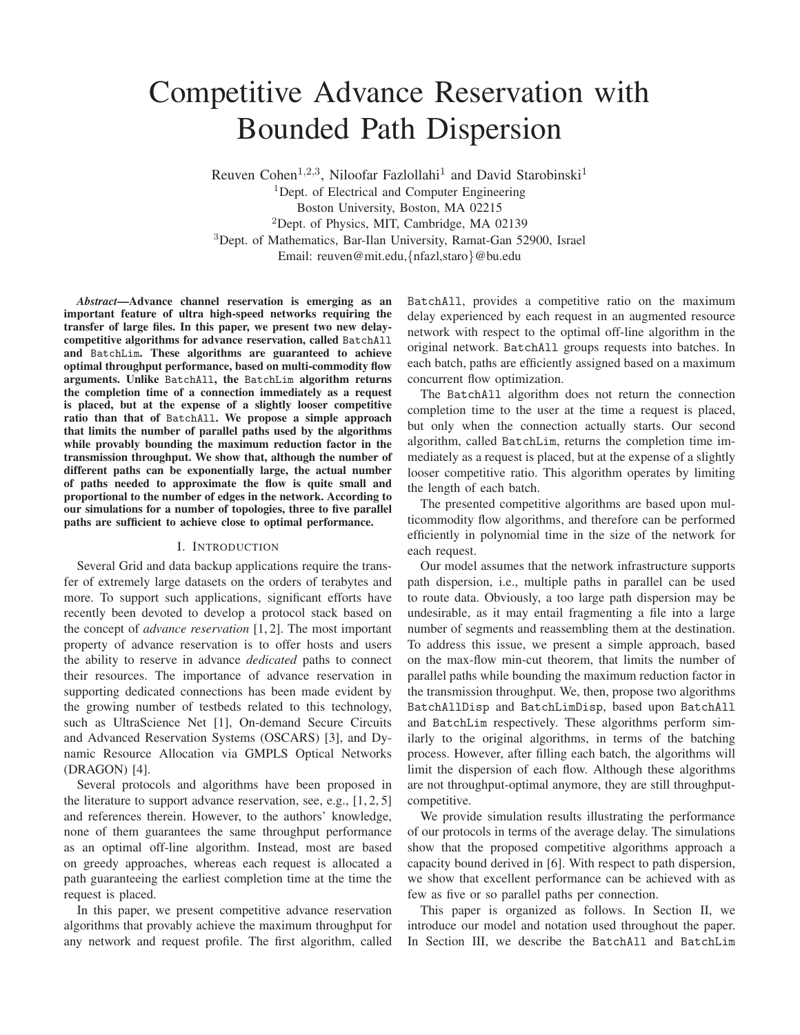# Competitive Advance Reservation with Bounded Path Dispersion

Reuven Cohen<sup>1,2,3</sup>, Niloofar Fazlollahi<sup>1</sup> and David Starobinski<sup>1</sup> <sup>1</sup>Dept. of Electrical and Computer Engineering Boston University, Boston, MA 02215 <sup>2</sup>Dept. of Physics, MIT, Cambridge, MA 02139 <sup>3</sup>Dept. of Mathematics, Bar-Ilan University, Ramat-Gan 52900, Israel Email: reuven@mit.edu,{nfazl,staro}@bu.edu

*Abstract***—Advance channel reservation is emerging as an important feature of ultra high-speed networks requiring the transfer of large files. In this paper, we present two new delaycompetitive algorithms for advance reservation, called** BatchAll **and** BatchLim**. These algorithms are guaranteed to achieve optimal throughput performance, based on multi-commodity flow arguments. Unlike** BatchAll**, the** BatchLim **algorithm returns the completion time of a connection immediately as a request is placed, but at the expense of a slightly looser competitive ratio than that of** BatchAll**. We propose a simple approach that limits the number of parallel paths used by the algorithms while provably bounding the maximum reduction factor in the transmission throughput. We show that, although the number of different paths can be exponentially large, the actual number of paths needed to approximate the flow is quite small and proportional to the number of edges in the network. According to our simulations for a number of topologies, three to five parallel paths are sufficient to achieve close to optimal performance.**

## I. INTRODUCTION

Several Grid and data backup applications require the transfer of extremely large datasets on the orders of terabytes and more. To support such applications, significant efforts have recently been devoted to develop a protocol stack based on the concept of *advance reservation* [1, 2]. The most important property of advance reservation is to offer hosts and users the ability to reserve in advance *dedicated* paths to connect their resources. The importance of advance reservation in supporting dedicated connections has been made evident by the growing number of testbeds related to this technology, such as UltraScience Net [1], On-demand Secure Circuits and Advanced Reservation Systems (OSCARS) [3], and Dynamic Resource Allocation via GMPLS Optical Networks (DRAGON) [4].

Several protocols and algorithms have been proposed in the literature to support advance reservation, see, e.g., [1, 2, 5] and references therein. However, to the authors' knowledge, none of them guarantees the same throughput performance as an optimal off-line algorithm. Instead, most are based on greedy approaches, whereas each request is allocated a path guaranteeing the earliest completion time at the time the request is placed.

In this paper, we present competitive advance reservation algorithms that provably achieve the maximum throughput for any network and request profile. The first algorithm, called BatchAll, provides a competitive ratio on the maximum delay experienced by each request in an augmented resource network with respect to the optimal off-line algorithm in the original network. BatchAll groups requests into batches. In each batch, paths are efficiently assigned based on a maximum concurrent flow optimization.

The BatchAll algorithm does not return the connection completion time to the user at the time a request is placed, but only when the connection actually starts. Our second algorithm, called BatchLim, returns the completion time immediately as a request is placed, but at the expense of a slightly looser competitive ratio. This algorithm operates by limiting the length of each batch.

The presented competitive algorithms are based upon multicommodity flow algorithms, and therefore can be performed efficiently in polynomial time in the size of the network for each request.

Our model assumes that the network infrastructure supports path dispersion, i.e., multiple paths in parallel can be used to route data. Obviously, a too large path dispersion may be undesirable, as it may entail fragmenting a file into a large number of segments and reassembling them at the destination. To address this issue, we present a simple approach, based on the max-flow min-cut theorem, that limits the number of parallel paths while bounding the maximum reduction factor in the transmission throughput. We, then, propose two algorithms BatchAllDisp and BatchLimDisp, based upon BatchAll and BatchLim respectively. These algorithms perform similarly to the original algorithms, in terms of the batching process. However, after filling each batch, the algorithms will limit the dispersion of each flow. Although these algorithms are not throughput-optimal anymore, they are still throughputcompetitive.

We provide simulation results illustrating the performance of our protocols in terms of the average delay. The simulations show that the proposed competitive algorithms approach a capacity bound derived in [6]. With respect to path dispersion, we show that excellent performance can be achieved with as few as five or so parallel paths per connection.

This paper is organized as follows. In Section II, we introduce our model and notation used throughout the paper. In Section III, we describe the BatchAll and BatchLim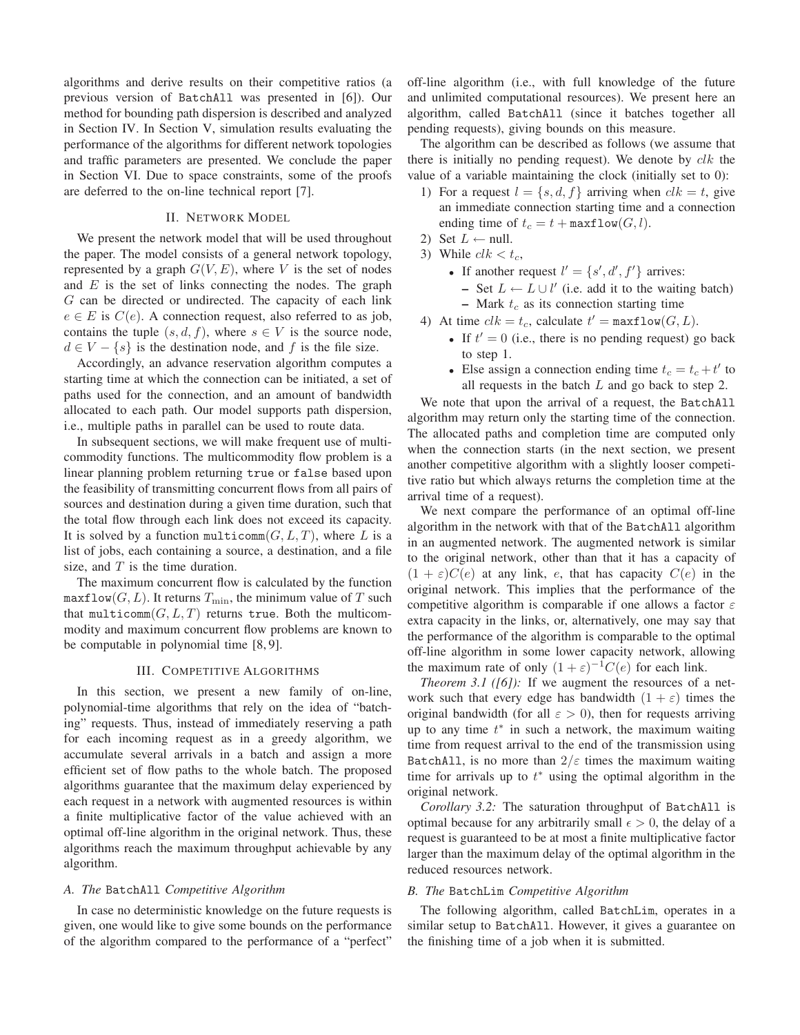algorithms and derive results on their competitive ratios (a previous version of BatchAll was presented in [6]). Our method for bounding path dispersion is described and analyzed in Section IV. In Section V, simulation results evaluating the performance of the algorithms for different network topologies and traffic parameters are presented. We conclude the paper in Section VI. Due to space constraints, some of the proofs are deferred to the on-line technical report [7].

## II. NETWORK MODEL

We present the network model that will be used throughout the paper. The model consists of a general network topology, represented by a graph  $G(V, E)$ , where V is the set of nodes and  $E$  is the set of links connecting the nodes. The graph  $G$  can be directed or undirected. The capacity of each link  $e \in E$  is  $C(e)$ . A connection request, also referred to as job, contains the tuple  $(s, d, f)$ , where  $s \in V$  is the source node,  $d \in V - \{s\}$  is the destination node, and f is the file size.

Accordingly, an advance reservation algorithm computes a starting time at which the connection can be initiated, a set of paths used for the connection, and an amount of bandwidth allocated to each path. Our model supports path dispersion, i.e., multiple paths in parallel can be used to route data.

In subsequent sections, we will make frequent use of multicommodity functions. The multicommodity flow problem is a linear planning problem returning true or false based upon the feasibility of transmitting concurrent flows from all pairs of sources and destination during a given time duration, such that the total flow through each link does not exceed its capacity. It is solved by a function multicomm $(G, L, T)$ , where L is a list of jobs, each containing a source, a destination, and a file size, and  $T$  is the time duration.

The maximum concurrent flow is calculated by the function maxflow(G, L). It returns  $T_{\text{min}}$ , the minimum value of T such that multicomm $(G, L, T)$  returns true. Both the multicommodity and maximum concurrent flow problems are known to be computable in polynomial time [8, 9].

#### III. COMPETITIVE ALGORITHMS

In this section, we present a new family of on-line, polynomial-time algorithms that rely on the idea of "batching" requests. Thus, instead of immediately reserving a path for each incoming request as in a greedy algorithm, we accumulate several arrivals in a batch and assign a more efficient set of flow paths to the whole batch. The proposed algorithms guarantee that the maximum delay experienced by each request in a network with augmented resources is within a finite multiplicative factor of the value achieved with an optimal off-line algorithm in the original network. Thus, these algorithms reach the maximum throughput achievable by any algorithm.

## *A. The* BatchAll *Competitive Algorithm*

In case no deterministic knowledge on the future requests is given, one would like to give some bounds on the performance of the algorithm compared to the performance of a "perfect" off-line algorithm (i.e., with full knowledge of the future and unlimited computational resources). We present here an algorithm, called BatchAll (since it batches together all pending requests), giving bounds on this measure.

The algorithm can be described as follows (we assume that there is initially no pending request). We denote by  $clk$  the value of a variable maintaining the clock (initially set to 0):

- 1) For a request  $l = \{s, d, f\}$  arriving when  $clk = t$ , give an immediate connection starting time and a connection ending time of  $t_c = t + \max \text{flow}(G, l)$ .
- 2) Set  $L \leftarrow$  null.
- 3) While  $clk < t_c$ ,
	- If another request  $l' = \{s', d', f'\}$  arrives: **–** Set  $L \leftarrow L \cup l'$  (i.e. add it to the waiting batch)
	- $-$  Mark  $t_c$  as its connection starting time
- 4) At time  $clk = t_c$ , calculate  $t' = \text{maxflow}(G, L)$ . • If  $t' = 0$  (i.e., there is no pending request) go back
	- to step 1.
	- Else assign a connection ending time  $t_c = t_c + t'$  to all requests in the batch  $L$  and go back to step 2.

We note that upon the arrival of a request, the BatchAll algorithm may return only the starting time of the connection. The allocated paths and completion time are computed only when the connection starts (in the next section, we present another competitive algorithm with a slightly looser competitive ratio but which always returns the completion time at the arrival time of a request).

We next compare the performance of an optimal off-line algorithm in the network with that of the BatchAll algorithm in an augmented network. The augmented network is similar to the original network, other than that it has a capacity of  $(1 + \varepsilon)C(e)$  at any link, e, that has capacity  $C(e)$  in the original network. This implies that the performance of the competitive algorithm is comparable if one allows a factor  $\varepsilon$ extra capacity in the links, or, alternatively, one may say that the performance of the algorithm is comparable to the optimal off-line algorithm in some lower capacity network, allowing the maximum rate of only  $(1 + \varepsilon)^{-1}C(e)$  for each link.

*Theorem 3.1 ([6]):* If we augment the resources of a network such that every edge has bandwidth  $(1 + \varepsilon)$  times the original bandwidth (for all  $\varepsilon > 0$ ), then for requests arriving up to any time  $t^*$  in such a network, the maximum waiting time from request arrival to the end of the transmission using BatchAll, is no more than  $2/\varepsilon$  times the maximum waiting time for arrivals up to  $t^*$  using the optimal algorithm in the original network.

*Corollary 3.2:* The saturation throughput of BatchAll is optimal because for any arbitrarily small  $\epsilon > 0$ , the delay of a request is guaranteed to be at most a finite multiplicative factor larger than the maximum delay of the optimal algorithm in the reduced resources network.

## *B. The* BatchLim *Competitive Algorithm*

The following algorithm, called BatchLim, operates in a similar setup to BatchAll. However, it gives a guarantee on the finishing time of a job when it is submitted.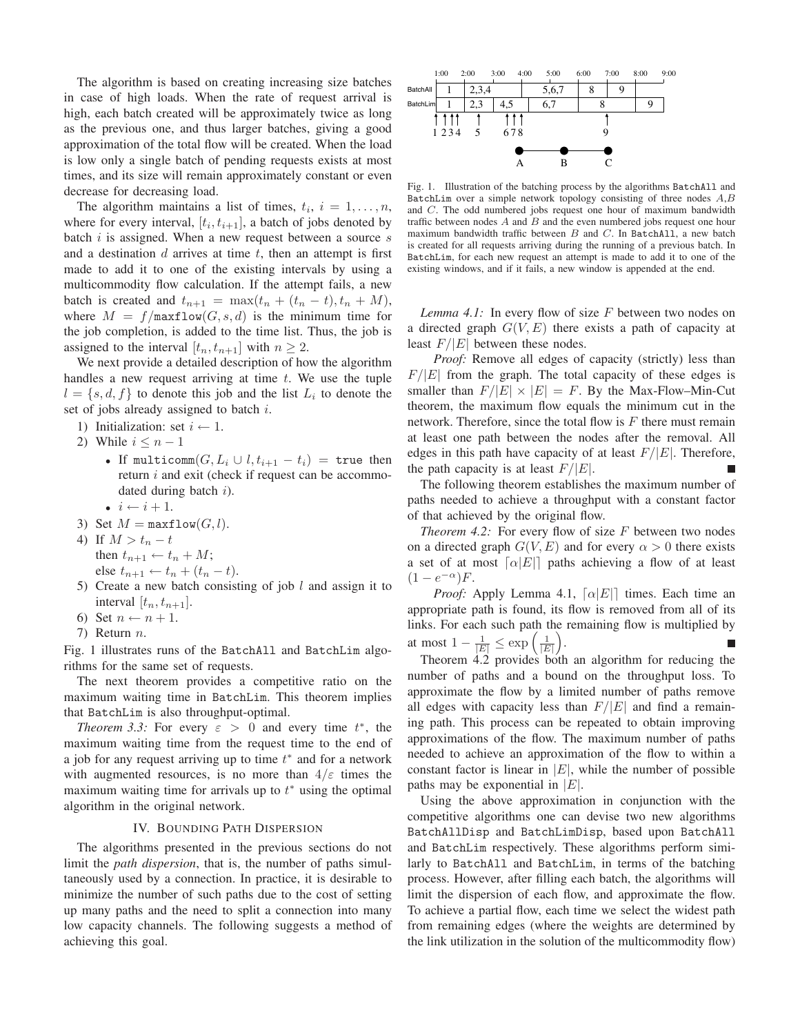The algorithm is based on creating increasing size batches in case of high loads. When the rate of request arrival is high, each batch created will be approximately twice as long as the previous one, and thus larger batches, giving a good approximation of the total flow will be created. When the load is low only a single batch of pending requests exists at most times, and its size will remain approximately constant or even decrease for decreasing load.

The algorithm maintains a list of times,  $t_i$ ,  $i = 1, \ldots, n$ , where for every interval,  $[t_i, t_{i+1}]$ , a batch of jobs denoted by batch  $i$  is assigned. When a new request between a source  $s$ and a destination  $d$  arrives at time  $t$ , then an attempt is first made to add it to one of the existing intervals by using a multicommodity flow calculation. If the attempt fails, a new batch is created and  $t_{n+1} = \max(t_n + (t_n - t), t_n + M)$ , where  $M = f/\text{maxflow}(G, s, d)$  is the minimum time for the job completion, is added to the time list. Thus, the job is assigned to the interval  $[t_n, t_{n+1}]$  with  $n \geq 2$ .

We next provide a detailed description of how the algorithm handles a new request arriving at time  $t$ . We use the tuple  $l = \{s, d, f\}$  to denote this job and the list  $L_i$  to denote the set of jobs already assigned to batch  $i$ .

- 1) Initialization: set  $i \leftarrow 1$ .
- 2) While  $i \leq n-1$ 
	- If multicomm $(G, L_i \cup l, t_{i+1} t_i) =$  true then return  $i$  and exit (check if request can be accommodated during batch  $i$ ).
	- $i \leftarrow i + 1$ .
- 3) Set  $M = \text{maxflow}(G, l)$ .
- 4) If  $M > t_n t$ then  $t_{n+1} \leftarrow t_n + M$ ;
	- else  $t_{n+1} \leftarrow t_n + (t_n t)$ .
- 5) Create a new batch consisting of job  $l$  and assign it to interval  $[t_n, t_{n+1}].$
- 6) Set  $n \leftarrow n + 1$ .
- 7) Return n.

Fig. 1 illustrates runs of the BatchAll and BatchLim algorithms for the same set of requests.

The next theorem provides a competitive ratio on the maximum waiting time in BatchLim. This theorem implies that BatchLim is also throughput-optimal.

*Theorem 3.3:* For every  $\varepsilon > 0$  and every time  $t^*$ , the maximum waiting time from the request time to the end of a job for any request arriving up to time  $t^*$  and for a network with augmented resources, is no more than  $4/\varepsilon$  times the maximum waiting time for arrivals up to  $t^*$  using the optimal algorithm in the original network.

#### IV. BOUNDING PATH DISPERSION

The algorithms presented in the previous sections do not limit the *path dispersion*, that is, the number of paths simultaneously used by a connection. In practice, it is desirable to minimize the number of such paths due to the cost of setting up many paths and the need to split a connection into many low capacity channels. The following suggests a method of achieving this goal.



Fig. 1. Illustration of the batching process by the algorithms BatchAll and BatchLim over a simple network topology consisting of three nodes *A*,*B* and *C*. The odd numbered jobs request one hour of maximum bandwidth traffic between nodes *A* and *B* and the even numbered jobs request one hour maximum bandwidth traffic between *B* and *C*. In BatchAll, a new batch is created for all requests arriving during the running of a previous batch. In BatchLim, for each new request an attempt is made to add it to one of the existing windows, and if it fails, a new window is appended at the end.

*Lemma 4.1:* In every flow of size F between two nodes on a directed graph  $G(V, E)$  there exists a path of capacity at least  $F/|E|$  between these nodes.

*Proof:* Remove all edges of capacity (strictly) less than  $F/|E|$  from the graph. The total capacity of these edges is smaller than  $F/|E| \times |E| = F$ . By the Max-Flow–Min-Cut theorem, the maximum flow equals the minimum cut in the network. Therefore, since the total flow is  $F$  there must remain at least one path between the nodes after the removal. All edges in this path have capacity of at least  $F/|E|$ . Therefore, the path capacity is at least  $F/|E|$ .

The following theorem establishes the maximum number of paths needed to achieve a throughput with a constant factor of that achieved by the original flow.

*Theorem 4.2:* For every flow of size F between two nodes on a directed graph  $G(V, E)$  and for every  $\alpha > 0$  there exists a set of at most  $\lceil \alpha |E| \rceil$  paths achieving a flow of at least  $(1-e^{-\alpha})F$ .

*Proof:* Apply Lemma 4.1,  $\lceil \alpha | E| \rceil$  times. Each time an appropriate path is found, its flow is removed from all of its links. For each such path the remaining flow is multiplied by at most  $1 - \frac{1}{|E|} \leq \exp\left(\frac{1}{|E|}\right)$ -.

Theorem 4.2 provides both an algorithm for reducing the number of paths and a bound on the throughput loss. To approximate the flow by a limited number of paths remove all edges with capacity less than  $F/|E|$  and find a remaining path. This process can be repeated to obtain improving approximations of the flow. The maximum number of paths needed to achieve an approximation of the flow to within a constant factor is linear in  $|E|$ , while the number of possible paths may be exponential in  $|E|$ .

Using the above approximation in conjunction with the competitive algorithms one can devise two new algorithms BatchAllDisp and BatchLimDisp, based upon BatchAll and BatchLim respectively. These algorithms perform similarly to BatchAll and BatchLim, in terms of the batching process. However, after filling each batch, the algorithms will limit the dispersion of each flow, and approximate the flow. To achieve a partial flow, each time we select the widest path from remaining edges (where the weights are determined by the link utilization in the solution of the multicommodity flow)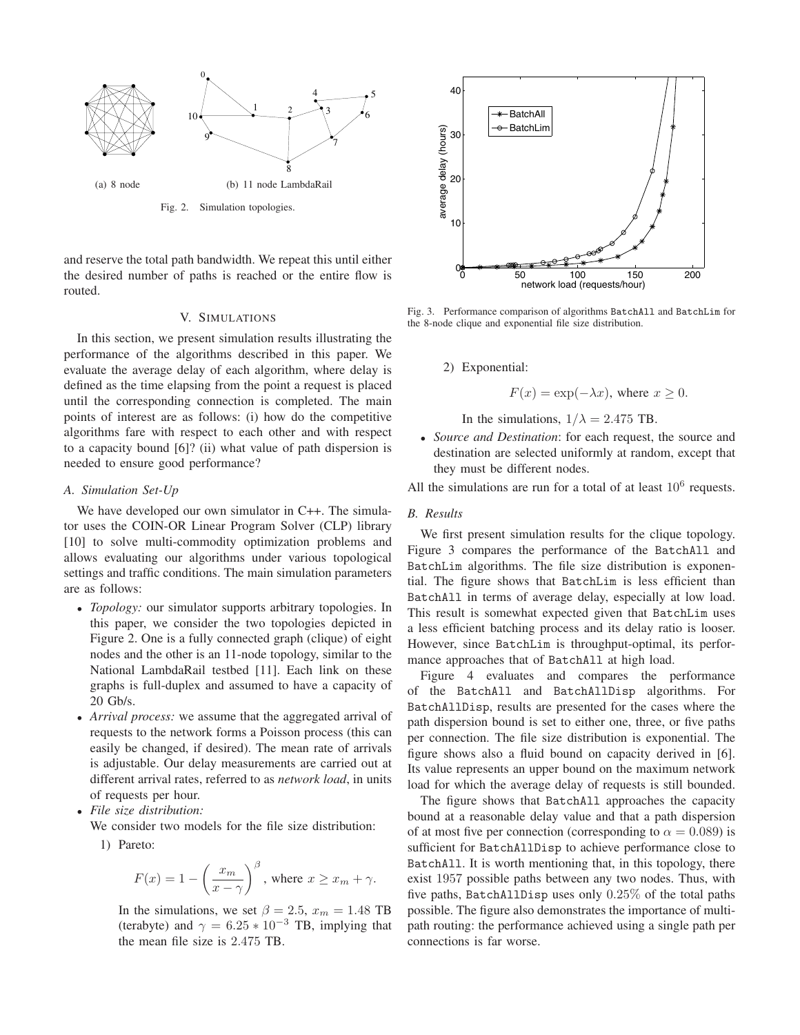

and reserve the total path bandwidth. We repeat this until either the desired number of paths is reached or the entire flow is routed.

## V. SIMULATIONS

In this section, we present simulation results illustrating the performance of the algorithms described in this paper. We evaluate the average delay of each algorithm, where delay is defined as the time elapsing from the point a request is placed until the corresponding connection is completed. The main points of interest are as follows: (i) how do the competitive algorithms fare with respect to each other and with respect to a capacity bound [6]? (ii) what value of path dispersion is needed to ensure good performance?

## *A. Simulation Set-Up*

We have developed our own simulator in C++. The simulator uses the COIN-OR Linear Program Solver (CLP) library [10] to solve multi-commodity optimization problems and allows evaluating our algorithms under various topological settings and traffic conditions. The main simulation parameters are as follows:

- *Topology:* our simulator supports arbitrary topologies. In this paper, we consider the two topologies depicted in Figure 2. One is a fully connected graph (clique) of eight nodes and the other is an 11-node topology, similar to the National LambdaRail testbed [11]. Each link on these graphs is full-duplex and assumed to have a capacity of 20 Gb/s.
- *Arrival process:* we assume that the aggregated arrival of requests to the network forms a Poisson process (this can easily be changed, if desired). The mean rate of arrivals is adjustable. Our delay measurements are carried out at different arrival rates, referred to as *network load*, in units of requests per hour.
- *File size distribution:*

We consider two models for the file size distribution:

1) Pareto:

$$
F(x)=1-\left(\frac{x_m}{x-\gamma}\right)^{\beta}, \text{ where } x\geq x_m+\gamma.
$$

In the simulations, we set  $\beta = 2.5$ ,  $x_m = 1.48$  TB (terabyte) and  $\gamma = 6.25 * 10^{-3}$  TB, implying that the mean file size is 2.475 TB.



Fig. 3. Performance comparison of algorithms BatchAll and BatchLim for the 8-node clique and exponential file size distribution.

2) Exponential:

$$
F(x) = \exp(-\lambda x), \text{ where } x \ge 0.
$$

In the simulations,  $1/\lambda = 2.475$  TB.

• *Source and Destination*: for each request, the source and destination are selected uniformly at random, except that they must be different nodes.

All the simulations are run for a total of at least  $10^6$  requests.

## *B. Results*

We first present simulation results for the clique topology. Figure 3 compares the performance of the BatchAll and BatchLim algorithms. The file size distribution is exponential. The figure shows that BatchLim is less efficient than BatchAll in terms of average delay, especially at low load. This result is somewhat expected given that BatchLim uses a less efficient batching process and its delay ratio is looser. However, since BatchLim is throughput-optimal, its performance approaches that of BatchAll at high load.

Figure 4 evaluates and compares the performance of the BatchAll and BatchAllDisp algorithms. For BatchAllDisp, results are presented for the cases where the path dispersion bound is set to either one, three, or five paths per connection. The file size distribution is exponential. The figure shows also a fluid bound on capacity derived in [6]. Its value represents an upper bound on the maximum network load for which the average delay of requests is still bounded.

The figure shows that BatchAll approaches the capacity bound at a reasonable delay value and that a path dispersion of at most five per connection (corresponding to  $\alpha = 0.089$ ) is sufficient for BatchAllDisp to achieve performance close to BatchAll. It is worth mentioning that, in this topology, there exist 1957 possible paths between any two nodes. Thus, with five paths, BatchAllDisp uses only 0.25% of the total paths possible. The figure also demonstrates the importance of multipath routing: the performance achieved using a single path per connections is far worse.